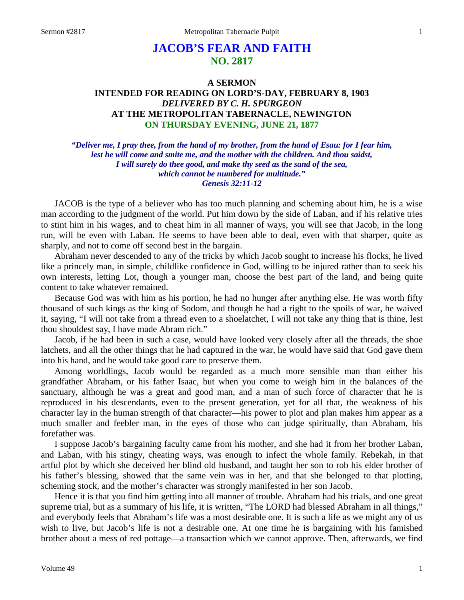# **JACOB'S FEAR AND FAITH NO. 2817**

## **A SERMON INTENDED FOR READING ON LORD'S-DAY, FEBRUARY 8, 1903** *DELIVERED BY C. H. SPURGEON* **AT THE METROPOLITAN TABERNACLE, NEWINGTON ON THURSDAY EVENING, JUNE 21, 1877**

*"Deliver me, I pray thee, from the hand of my brother, from the hand of Esau: for I fear him, lest he will come and smite me, and the mother with the children. And thou saidst, I will surely do thee good, and make thy seed as the sand of the sea, which cannot be numbered for multitude." Genesis 32:11-12*

JACOB is the type of a believer who has too much planning and scheming about him, he is a wise man according to the judgment of the world. Put him down by the side of Laban, and if his relative tries to stint him in his wages, and to cheat him in all manner of ways, you will see that Jacob, in the long run, will be even with Laban. He seems to have been able to deal, even with that sharper, quite as sharply, and not to come off second best in the bargain.

Abraham never descended to any of the tricks by which Jacob sought to increase his flocks, he lived like a princely man, in simple, childlike confidence in God, willing to be injured rather than to seek his own interests, letting Lot, though a younger man, choose the best part of the land, and being quite content to take whatever remained.

Because God was with him as his portion, he had no hunger after anything else. He was worth fifty thousand of such kings as the king of Sodom, and though he had a right to the spoils of war, he waived it, saying, "I will not take from a thread even to a shoelatchet, I will not take any thing that is thine, lest thou shouldest say, I have made Abram rich."

Jacob, if he had been in such a case, would have looked very closely after all the threads, the shoe latchets, and all the other things that he had captured in the war, he would have said that God gave them into his hand, and he would take good care to preserve them.

Among worldlings, Jacob would be regarded as a much more sensible man than either his grandfather Abraham, or his father Isaac, but when you come to weigh him in the balances of the sanctuary, although he was a great and good man, and a man of such force of character that he is reproduced in his descendants, even to the present generation, yet for all that, the weakness of his character lay in the human strength of that character—his power to plot and plan makes him appear as a much smaller and feebler man, in the eyes of those who can judge spiritually, than Abraham, his forefather was.

I suppose Jacob's bargaining faculty came from his mother, and she had it from her brother Laban, and Laban, with his stingy, cheating ways, was enough to infect the whole family. Rebekah, in that artful plot by which she deceived her blind old husband, and taught her son to rob his elder brother of his father's blessing, showed that the same vein was in her, and that she belonged to that plotting, scheming stock, and the mother's character was strongly manifested in her son Jacob.

Hence it is that you find him getting into all manner of trouble. Abraham had his trials, and one great supreme trial, but as a summary of his life, it is written, "The LORD had blessed Abraham in all things," and everybody feels that Abraham's life was a most desirable one. It is such a life as we might any of us wish to live, but Jacob's life is not a desirable one. At one time he is bargaining with his famished brother about a mess of red pottage—a transaction which we cannot approve. Then, afterwards, we find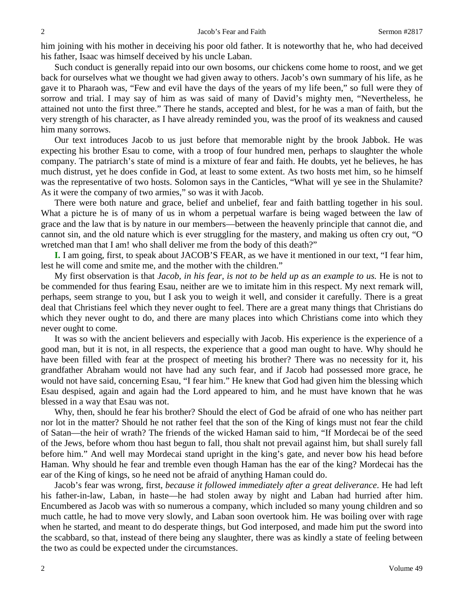him joining with his mother in deceiving his poor old father. It is noteworthy that he, who had deceived his father, Isaac was himself deceived by his uncle Laban.

Such conduct is generally repaid into our own bosoms, our chickens come home to roost, and we get back for ourselves what we thought we had given away to others. Jacob's own summary of his life, as he gave it to Pharaoh was, "Few and evil have the days of the years of my life been," so full were they of sorrow and trial. I may say of him as was said of many of David's mighty men, "Nevertheless, he attained not unto the first three." There he stands, accepted and blest, for he was a man of faith, but the very strength of his character, as I have already reminded you, was the proof of its weakness and caused him many sorrows.

Our text introduces Jacob to us just before that memorable night by the brook Jabbok. He was expecting his brother Esau to come, with a troop of four hundred men, perhaps to slaughter the whole company. The patriarch's state of mind is a mixture of fear and faith. He doubts, yet he believes, he has much distrust, yet he does confide in God, at least to some extent. As two hosts met him, so he himself was the representative of two hosts. Solomon says in the Canticles, "What will ye see in the Shulamite? As it were the company of two armies," so was it with Jacob.

There were both nature and grace, belief and unbelief, fear and faith battling together in his soul. What a picture he is of many of us in whom a perpetual warfare is being waged between the law of grace and the law that is by nature in our members—between the heavenly principle that cannot die, and cannot sin, and the old nature which is ever struggling for the mastery, and making us often cry out, "O wretched man that I am! who shall deliver me from the body of this death?"

**I.** I am going, first, to speak about JACOB'S FEAR, as we have it mentioned in our text, "I fear him, lest he will come and smite me, and the mother with the children."

My first observation is that *Jacob, in his fear, is not to be held up as an example to us.* He is not to be commended for thus fearing Esau, neither are we to imitate him in this respect. My next remark will, perhaps, seem strange to you, but I ask you to weigh it well, and consider it carefully. There is a great deal that Christians feel which they never ought to feel. There are a great many things that Christians do which they never ought to do, and there are many places into which Christians come into which they never ought to come.

It was so with the ancient believers and especially with Jacob. His experience is the experience of a good man, but it is not, in all respects, the experience that a good man ought to have. Why should he have been filled with fear at the prospect of meeting his brother? There was no necessity for it, his grandfather Abraham would not have had any such fear, and if Jacob had possessed more grace, he would not have said, concerning Esau, "I fear him." He knew that God had given him the blessing which Esau despised, again and again had the Lord appeared to him, and he must have known that he was blessed in a way that Esau was not.

Why, then, should he fear his brother? Should the elect of God be afraid of one who has neither part nor lot in the matter? Should he not rather feel that the son of the King of kings must not fear the child of Satan—the heir of wrath? The friends of the wicked Haman said to him, "If Mordecai be of the seed of the Jews, before whom thou hast begun to fall, thou shalt not prevail against him, but shall surely fall before him." And well may Mordecai stand upright in the king's gate, and never bow his head before Haman. Why should he fear and tremble even though Haman has the ear of the king? Mordecai has the ear of the King of kings, so he need not be afraid of anything Haman could do.

Jacob's fear was wrong, first, *because it followed immediately after a great deliverance*. He had left his father-in-law, Laban, in haste—he had stolen away by night and Laban had hurried after him. Encumbered as Jacob was with so numerous a company, which included so many young children and so much cattle, he had to move very slowly, and Laban soon overtook him. He was boiling over with rage when he started, and meant to do desperate things, but God interposed, and made him put the sword into the scabbard, so that, instead of there being any slaughter, there was as kindly a state of feeling between the two as could be expected under the circumstances.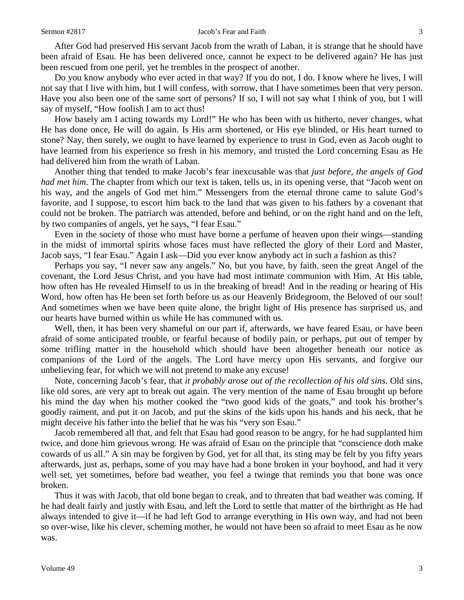#### Sermon #2817 **Jacob's Fear and Faith** 3

After God had preserved His servant Jacob from the wrath of Laban, it is strange that he should have been afraid of Esau. He has been delivered once, cannot he expect to be delivered again? He has just been rescued from one peril, yet he trembles in the prospect of another.

Do you know anybody who ever acted in that way? If you do not, I do. I know where he lives, I will not say that I live with him, but I will confess, with sorrow, that I have sometimes been that very person. Have you also been one of the same sort of persons? If so, I will not say what I think of you, but I will say of myself, "How foolish I am to act thus!

How basely am I acting towards my Lord!" He who has been with us hitherto, never changes, what He has done once, He will do again. Is His arm shortened, or His eye blinded, or His heart turned to stone? Nay, then surely, we ought to have learned by experience to trust in God, even as Jacob ought to have learned from his experience so fresh in his memory, and trusted the Lord concerning Esau as He had delivered him from the wrath of Laban.

Another thing that tended to make Jacob's fear inexcusable was that *just before, the angels of God had met him*. The chapter from which our text is taken, tells us, in its opening verse, that "Jacob went on his way, and the angels of God met him." Messengers from the eternal throne came to salute God's favorite, and I suppose, to escort him back to the land that was given to his fathers by a covenant that could not be broken. The patriarch was attended, before and behind, or on the right hand and on the left, by two companies of angels, yet he says, "I fear Esau."

Even in the society of those who must have borne a perfume of heaven upon their wings—standing in the midst of immortal spirits whose faces must have reflected the glory of their Lord and Master, Jacob says, "I fear Esau." Again I ask—Did you ever know anybody act in such a fashion as this?

Perhaps you say, "I never saw any angels." No, but you have, by faith, seen the great Angel of the covenant, the Lord Jesus Christ, and you have had most intimate communion with Him. At His table, how often has He revealed Himself to us in the breaking of bread! And in the reading or hearing of His Word, how often has He been set forth before us as our Heavenly Bridegroom, the Beloved of our soul! And sometimes when we have been quite alone, the bright light of His presence has surprised us, and our hearts have burned within us while He has communed with us.

Well, then, it has been very shameful on our part if, afterwards, we have feared Esau, or have been afraid of some anticipated trouble, or fearful because of bodily pain, or perhaps, put out of temper by some trifling matter in the household which should have been altogether beneath our notice as companions of the Lord of the angels. The Lord have mercy upon His servants, and forgive our unbelieving fear, for which we will not pretend to make any excuse!

Note, concerning Jacob's fear, that *it probably arose out of the recollection of his old sins.* Old sins, like old sores, are very apt to break out again. The very mention of the name of Esau brought up before his mind the day when his mother cooked the "two good kids of the goats," and took his brother's goodly raiment, and put it on Jacob, and put the skins of the kids upon his hands and his neck, that he might deceive his father into the belief that he was his "very son Esau."

Jacob remembered all that, and felt that Esau had good reason to be angry, for he had supplanted him twice, and done him grievous wrong. He was afraid of Esau on the principle that "conscience doth make cowards of us all." A sin may be forgiven by God, yet for all that, its sting may be felt by you fifty years afterwards, just as, perhaps, some of you may have had a bone broken in your boyhood, and had it very well set, yet sometimes, before bad weather, you feel a twinge that reminds you that bone was once broken.

Thus it was with Jacob, that old bone began to creak, and to threaten that bad weather was coming. If he had dealt fairly and justly with Esau, and left the Lord to settle that matter of the birthright as He had always intended to give it—if he had left God to arrange everything in His own way, and had not been so over-wise, like his clever, scheming mother, he would not have been so afraid to meet Esau as he now was.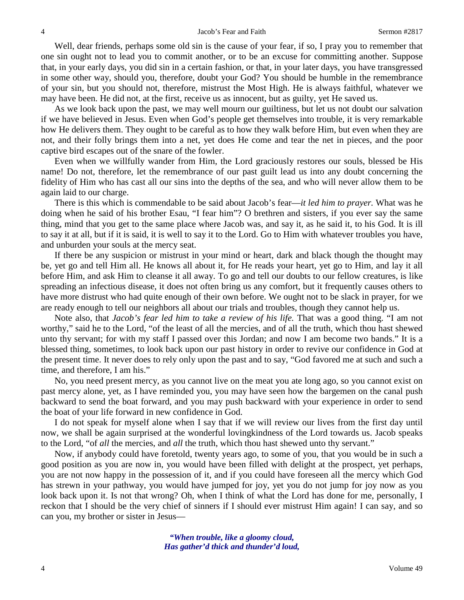Well, dear friends, perhaps some old sin is the cause of your fear, if so, I pray you to remember that one sin ought not to lead you to commit another, or to be an excuse for committing another. Suppose that, in your early days, you did sin in a certain fashion, or that, in your later days, you have transgressed in some other way, should you, therefore, doubt your God? You should be humble in the remembrance of your sin, but you should not, therefore, mistrust the Most High. He is always faithful, whatever we may have been. He did not, at the first, receive us as innocent, but as guilty, yet He saved us.

As we look back upon the past, we may well mourn our guiltiness, but let us not doubt our salvation if we have believed in Jesus. Even when God's people get themselves into trouble, it is very remarkable how He delivers them. They ought to be careful as to how they walk before Him, but even when they are not, and their folly brings them into a net, yet does He come and tear the net in pieces, and the poor captive bird escapes out of the snare of the fowler.

Even when we willfully wander from Him, the Lord graciously restores our souls, blessed be His name! Do not, therefore, let the remembrance of our past guilt lead us into any doubt concerning the fidelity of Him who has cast all our sins into the depths of the sea, and who will never allow them to be again laid to our charge.

There is this which is commendable to be said about Jacob's fear—*it led him to prayer.* What was he doing when he said of his brother Esau, "I fear him"? O brethren and sisters, if you ever say the same thing, mind that you get to the same place where Jacob was, and say it, as he said it, to his God. It is ill to say it at all, but if it is said, it is well to say it to the Lord. Go to Him with whatever troubles you have, and unburden your souls at the mercy seat.

If there be any suspicion or mistrust in your mind or heart, dark and black though the thought may be, yet go and tell Him all. He knows all about it, for He reads your heart, yet go to Him, and lay it all before Him, and ask Him to cleanse it all away. To go and tell our doubts to our fellow creatures, is like spreading an infectious disease, it does not often bring us any comfort, but it frequently causes others to have more distrust who had quite enough of their own before. We ought not to be slack in prayer, for we are ready enough to tell our neighbors all about our trials and troubles, though they cannot help us.

Note also, that *Jacob's fear led him to take a review of his life.* That was a good thing. "I am not worthy," said he to the Lord, "of the least of all the mercies, and of all the truth, which thou hast shewed unto thy servant; for with my staff I passed over this Jordan; and now I am become two bands." It is a blessed thing, sometimes, to look back upon our past history in order to revive our confidence in God at the present time. It never does to rely only upon the past and to say, "God favored me at such and such a time, and therefore, I am his."

No, you need present mercy, as you cannot live on the meat you ate long ago, so you cannot exist on past mercy alone, yet, as I have reminded you, you may have seen how the bargemen on the canal push backward to send the boat forward, and you may push backward with your experience in order to send the boat of your life forward in new confidence in God.

I do not speak for myself alone when I say that if we will review our lives from the first day until now, we shall be again surprised at the wonderful lovingkindness of the Lord towards us. Jacob speaks to the Lord, "of *all* the mercies, and *all* the truth, which thou hast shewed unto thy servant."

Now, if anybody could have foretold, twenty years ago, to some of you, that you would be in such a good position as you are now in, you would have been filled with delight at the prospect, yet perhaps, you are not now happy in the possession of it, and if you could have foreseen all the mercy which God has strewn in your pathway, you would have jumped for joy, yet you do not jump for joy now as you look back upon it. Is not that wrong? Oh, when I think of what the Lord has done for me, personally, I reckon that I should be the very chief of sinners if I should ever mistrust Him again! I can say, and so can you, my brother or sister in Jesus—

> *"When trouble, like a gloomy cloud, Has gather'd thick and thunder'd loud,*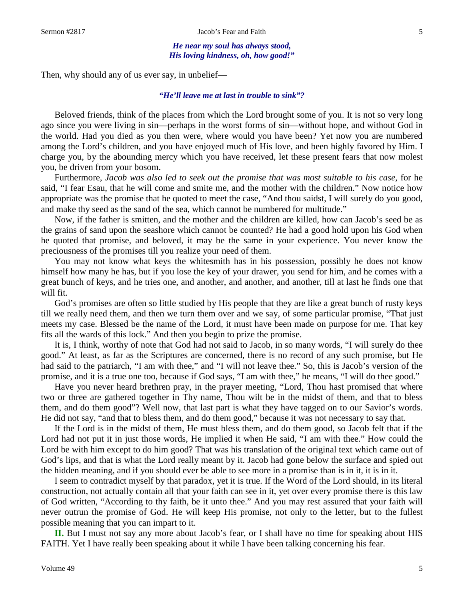*He near my soul has always stood, His loving kindness, oh, how good!"*

Then, why should any of us ever say, in unbelief—

### *"He'll leave me at last in trouble to sink"?*

Beloved friends, think of the places from which the Lord brought some of you. It is not so very long ago since you were living in sin—perhaps in the worst forms of sin—without hope, and without God in the world. Had you died as you then were, where would you have been? Yet now you are numbered among the Lord's children, and you have enjoyed much of His love, and been highly favored by Him. I charge you, by the abounding mercy which you have received, let these present fears that now molest you, be driven from your bosom.

Furthermore, *Jacob was also led to seek out the promise that was most suitable to his case,* for he said, "I fear Esau, that he will come and smite me, and the mother with the children." Now notice how appropriate was the promise that he quoted to meet the case, "And thou saidst, I will surely do you good, and make thy seed as the sand of the sea, which cannot be numbered for multitude."

Now, if the father is smitten, and the mother and the children are killed, how can Jacob's seed be as the grains of sand upon the seashore which cannot be counted? He had a good hold upon his God when he quoted that promise, and beloved, it may be the same in your experience. You never know the preciousness of the promises till you realize your need of them.

You may not know what keys the whitesmith has in his possession, possibly he does not know himself how many he has, but if you lose the key of your drawer, you send for him, and he comes with a great bunch of keys, and he tries one, and another, and another, and another, till at last he finds one that will fit.

God's promises are often so little studied by His people that they are like a great bunch of rusty keys till we really need them, and then we turn them over and we say, of some particular promise, "That just meets my case. Blessed be the name of the Lord, it must have been made on purpose for me. That key fits all the wards of this lock." And then you begin to prize the promise.

It is, I think, worthy of note that God had not said to Jacob, in so many words, "I will surely do thee good." At least, as far as the Scriptures are concerned, there is no record of any such promise, but He had said to the patriarch, "I am with thee," and "I will not leave thee." So, this is Jacob's version of the promise, and it is a true one too, because if God says, "I am with thee," he means, "I will do thee good."

Have you never heard brethren pray, in the prayer meeting, "Lord, Thou hast promised that where two or three are gathered together in Thy name, Thou wilt be in the midst of them, and that to bless them, and do them good"? Well now, that last part is what they have tagged on to our Savior's words. He did not say, "and that to bless them, and do them good," because it was not necessary to say that.

If the Lord is in the midst of them, He must bless them, and do them good, so Jacob felt that if the Lord had not put it in just those words, He implied it when He said, "I am with thee." How could the Lord be with him except to do him good? That was his translation of the original text which came out of God's lips, and that is what the Lord really meant by it. Jacob had gone below the surface and spied out the hidden meaning, and if you should ever be able to see more in a promise than is in it, it is in it.

I seem to contradict myself by that paradox, yet it is true. If the Word of the Lord should, in its literal construction, not actually contain all that your faith can see in it, yet over every promise there is this law of God written, "According to thy faith, be it unto thee." And you may rest assured that your faith will never outrun the promise of God. He will keep His promise, not only to the letter, but to the fullest possible meaning that you can impart to it.

**II.** But I must not say any more about Jacob's fear, or I shall have no time for speaking about HIS FAITH. Yet I have really been speaking about it while I have been talking concerning his fear.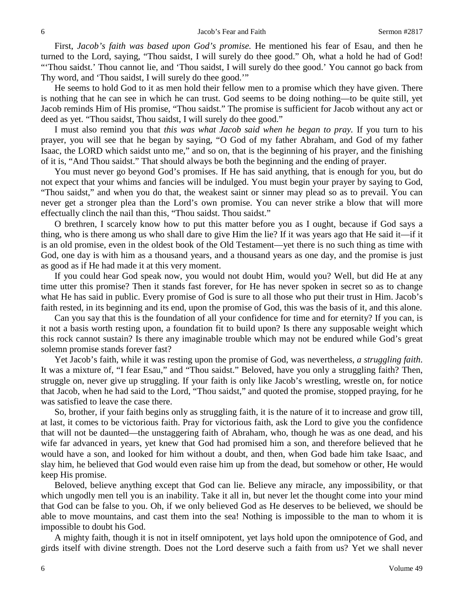First, *Jacob's faith was based upon God's promise.* He mentioned his fear of Esau, and then he turned to the Lord, saying, "Thou saidst, I will surely do thee good." Oh, what a hold he had of God! "'Thou saidst.' Thou cannot lie, and 'Thou saidst, I will surely do thee good.' You cannot go back from Thy word, and 'Thou saidst, I will surely do thee good.'"

He seems to hold God to it as men hold their fellow men to a promise which they have given. There is nothing that he can see in which he can trust. God seems to be doing nothing—to be quite still, yet Jacob reminds Him of His promise, "Thou saidst." The promise is sufficient for Jacob without any act or deed as yet. "Thou saidst, Thou saidst, I will surely do thee good."

I must also remind you that *this was what Jacob said when he began to pray.* If you turn to his prayer, you will see that he began by saying, "O God of my father Abraham, and God of my father Isaac, the LORD which saidst unto me," and so on, that is the beginning of his prayer, and the finishing of it is, "And Thou saidst." That should always be both the beginning and the ending of prayer.

You must never go beyond God's promises. If He has said anything, that is enough for you, but do not expect that your whims and fancies will be indulged. You must begin your prayer by saying to God, "Thou saidst," and when you do that, the weakest saint or sinner may plead so as to prevail. You can never get a stronger plea than the Lord's own promise. You can never strike a blow that will more effectually clinch the nail than this, "Thou saidst. Thou saidst."

O brethren, I scarcely know how to put this matter before you as I ought, because if God says a thing, who is there among us who shall dare to give Him the lie? If it was years ago that He said it—if it is an old promise, even in the oldest book of the Old Testament—yet there is no such thing as time with God, one day is with him as a thousand years, and a thousand years as one day, and the promise is just as good as if He had made it at this very moment.

If you could hear God speak now, you would not doubt Him, would you? Well, but did He at any time utter this promise? Then it stands fast forever, for He has never spoken in secret so as to change what He has said in public. Every promise of God is sure to all those who put their trust in Him. Jacob's faith rested, in its beginning and its end, upon the promise of God, this was the basis of it, and this alone.

Can you say that this is the foundation of all your confidence for time and for eternity? If you can, is it not a basis worth resting upon, a foundation fit to build upon? Is there any supposable weight which this rock cannot sustain? Is there any imaginable trouble which may not be endured while God's great solemn promise stands forever fast?

Yet Jacob's faith, while it was resting upon the promise of God, was nevertheless, *a struggling faith*. It was a mixture of, "I fear Esau," and "Thou saidst." Beloved, have you only a struggling faith? Then, struggle on, never give up struggling. If your faith is only like Jacob's wrestling, wrestle on, for notice that Jacob, when he had said to the Lord, "Thou saidst," and quoted the promise, stopped praying, for he was satisfied to leave the case there.

So, brother, if your faith begins only as struggling faith, it is the nature of it to increase and grow till, at last, it comes to be victorious faith. Pray for victorious faith, ask the Lord to give you the confidence that will not be daunted—the unstaggering faith of Abraham, who, though he was as one dead, and his wife far advanced in years, yet knew that God had promised him a son, and therefore believed that he would have a son, and looked for him without a doubt, and then, when God bade him take Isaac, and slay him, he believed that God would even raise him up from the dead, but somehow or other, He would keep His promise.

Beloved, believe anything except that God can lie. Believe any miracle, any impossibility, or that which ungodly men tell you is an inability. Take it all in, but never let the thought come into your mind that God can be false to you. Oh, if we only believed God as He deserves to be believed, we should be able to move mountains, and cast them into the sea! Nothing is impossible to the man to whom it is impossible to doubt his God.

A mighty faith, though it is not in itself omnipotent, yet lays hold upon the omnipotence of God, and girds itself with divine strength. Does not the Lord deserve such a faith from us? Yet we shall never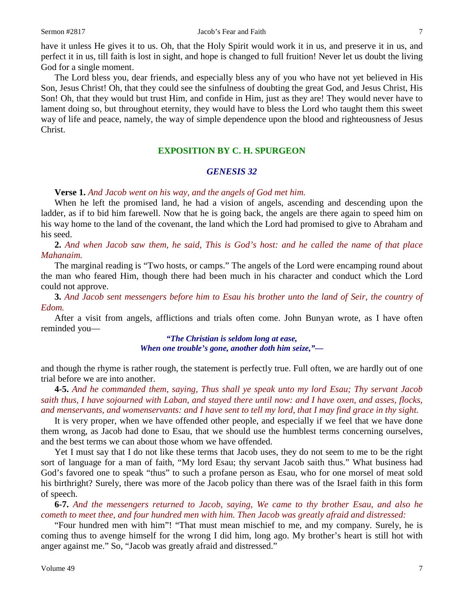have it unless He gives it to us. Oh, that the Holy Spirit would work it in us, and preserve it in us, and perfect it in us, till faith is lost in sight, and hope is changed to full fruition! Never let us doubt the living God for a single moment.

The Lord bless you, dear friends, and especially bless any of you who have not yet believed in His Son, Jesus Christ! Oh, that they could see the sinfulness of doubting the great God, and Jesus Christ, His Son! Oh, that they would but trust Him, and confide in Him, just as they are! They would never have to lament doing so, but throughout eternity, they would have to bless the Lord who taught them this sweet way of life and peace, namely, the way of simple dependence upon the blood and righteousness of Jesus Christ.

## **EXPOSITION BY C. H. SPURGEON**

#### *GENESIS 32*

### **Verse 1.** *And Jacob went on his way, and the angels of God met him.*

When he left the promised land, he had a vision of angels, ascending and descending upon the ladder, as if to bid him farewell. Now that he is going back, the angels are there again to speed him on his way home to the land of the covenant, the land which the Lord had promised to give to Abraham and his seed.

**2.** *And when Jacob saw them, he said, This is God's host: and he called the name of that place Mahanaim.*

The marginal reading is "Two hosts, or camps." The angels of the Lord were encamping round about the man who feared Him, though there had been much in his character and conduct which the Lord could not approve.

**3.** *And Jacob sent messengers before him to Esau his brother unto the land of Seir, the country of Edom.*

After a visit from angels, afflictions and trials often come. John Bunyan wrote, as I have often reminded you—

> *"The Christian is seldom long at ease, When one trouble's gone, another doth him seize,"—*

and though the rhyme is rather rough, the statement is perfectly true. Full often, we are hardly out of one trial before we are into another.

**4-5.** *And he commanded them, saying, Thus shall ye speak unto my lord Esau; Thy servant Jacob saith thus, I have sojourned with Laban, and stayed there until now: and I have oxen, and asses, flocks, and menservants, and womenservants: and I have sent to tell my lord, that I may find grace in thy sight.*

It is very proper, when we have offended other people, and especially if we feel that we have done them wrong, as Jacob had done to Esau, that we should use the humblest terms concerning ourselves, and the best terms we can about those whom we have offended.

Yet I must say that I do not like these terms that Jacob uses, they do not seem to me to be the right sort of language for a man of faith, "My lord Esau; thy servant Jacob saith thus." What business had God's favored one to speak "thus" to such a profane person as Esau, who for one morsel of meat sold his birthright? Surely, there was more of the Jacob policy than there was of the Israel faith in this form of speech.

**6-7.** *And the messengers returned to Jacob, saying, We came to thy brother Esau, and also he cometh to meet thee, and four hundred men with him. Then Jacob was greatly afraid and distressed:*

"Four hundred men with him"! "That must mean mischief to me, and my company. Surely, he is coming thus to avenge himself for the wrong I did him, long ago. My brother's heart is still hot with anger against me." So, "Jacob was greatly afraid and distressed."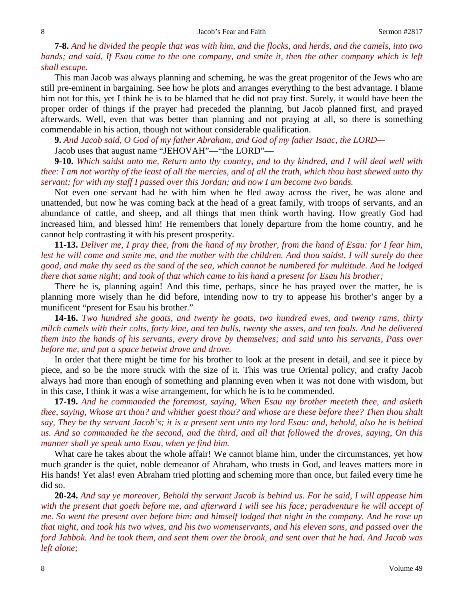**7-8.** *And he divided the people that was with him, and the flocks, and herds, and the camels, into two bands; and said, If Esau come to the one company, and smite it, then the other company which is left shall escape.*

This man Jacob was always planning and scheming, he was the great progenitor of the Jews who are still pre-eminent in bargaining. See how he plots and arranges everything to the best advantage. I blame him not for this, yet I think he is to be blamed that he did not pray first. Surely, it would have been the proper order of things if the prayer had preceded the planning, but Jacob planned first, and prayed afterwards. Well, even that was better than planning and not praying at all, so there is something commendable in his action, though not without considerable qualification.

**9.** *And Jacob said, O God of my father Abraham, and God of my father Isaac, the LORD—*

Jacob uses that august name "JEHOVAH"—"the LORD"—

**9-10.** *Which saidst unto me, Return unto thy country, and to thy kindred, and I will deal well with thee: I am not worthy of the least of all the mercies, and of all the truth, which thou hast shewed unto thy servant; for with my staff I passed over this Jordan; and now I am become two bands.*

Not even one servant had he with him when he fled away across the river, he was alone and unattended, but now he was coming back at the head of a great family, with troops of servants, and an abundance of cattle, and sheep, and all things that men think worth having. How greatly God had increased him, and blessed him! He remembers that lonely departure from the home country, and he cannot help contrasting it with his present prosperity.

**11-13.** *Deliver me, I pray thee, from the hand of my brother, from the hand of Esau: for I fear him, lest he will come and smite me, and the mother with the children. And thou saidst, I will surely do thee good, and make thy seed as the sand of the sea, which cannot be numbered for multitude. And he lodged there that same night; and took of that which came to his hand a present for Esau his brother;*

There he is, planning again! And this time, perhaps, since he has prayed over the matter, he is planning more wisely than he did before, intending now to try to appease his brother's anger by a munificent "present for Esau his brother."

**14-16.** *Two hundred she goats, and twenty he goats, two hundred ewes, and twenty rams, thirty milch camels with their colts, forty kine, and ten bulls, twenty she asses, and ten foals. And he delivered them into the hands of his servants, every drove by themselves; and said unto his servants, Pass over before me, and put a space betwixt drove and drove.*

In order that there might be time for his brother to look at the present in detail, and see it piece by piece, and so be the more struck with the size of it. This was true Oriental policy, and crafty Jacob always had more than enough of something and planning even when it was not done with wisdom, but in this case, I think it was a wise arrangement, for which he is to be commended.

**17-19.** *And he commanded the foremost, saying, When Esau my brother meeteth thee, and asketh thee, saying, Whose art thou? and whither goest thou? and whose are these before thee? Then thou shalt say, They be thy servant Jacob's; it is a present sent unto my lord Esau: and, behold, also he is behind us. And so commanded he the second, and the third, and all that followed the droves, saying, On this manner shall ye speak unto Esau, when ye find him.*

What care he takes about the whole affair! We cannot blame him, under the circumstances, yet how much grander is the quiet, noble demeanor of Abraham, who trusts in God, and leaves matters more in His hands! Yet alas! even Abraham tried plotting and scheming more than once, but failed every time he did so.

**20-24.** *And say ye moreover, Behold thy servant Jacob is behind us. For he said, I will appease him with the present that goeth before me, and afterward I will see his face; peradventure he will accept of me. So went the present over before him: and himself lodged that night in the company. And he rose up that night, and took his two wives, and his two womenservants, and his eleven sons, and passed over the ford Jabbok. And he took them, and sent them over the brook, and sent over that he had. And Jacob was left alone;*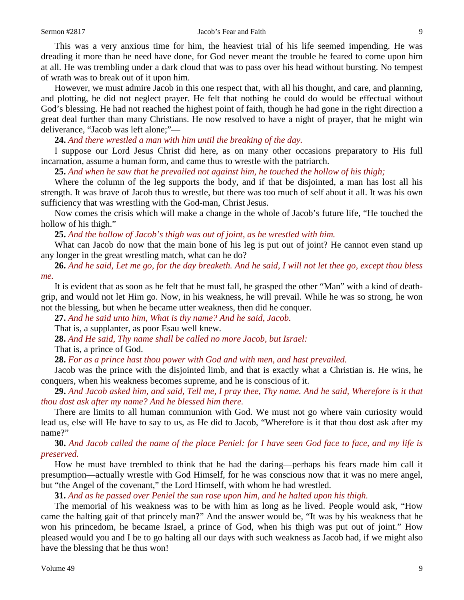#### Sermon #2817 Jacob's Fear and Faith 9

This was a very anxious time for him, the heaviest trial of his life seemed impending. He was dreading it more than he need have done, for God never meant the trouble he feared to come upon him at all. He was trembling under a dark cloud that was to pass over his head without bursting. No tempest of wrath was to break out of it upon him.

However, we must admire Jacob in this one respect that, with all his thought, and care, and planning, and plotting, he did not neglect prayer. He felt that nothing he could do would be effectual without God's blessing. He had not reached the highest point of faith, though he had gone in the right direction a great deal further than many Christians. He now resolved to have a night of prayer, that he might win deliverance, "Jacob was left alone;"—

**24.** *And there wrestled a man with him until the breaking of the day.*

I suppose our Lord Jesus Christ did here, as on many other occasions preparatory to His full incarnation, assume a human form, and came thus to wrestle with the patriarch.

**25.** *And when he saw that he prevailed not against him, he touched the hollow of his thigh;*

Where the column of the leg supports the body, and if that be disjointed, a man has lost all his strength. It was brave of Jacob thus to wrestle, but there was too much of self about it all. It was his own sufficiency that was wrestling with the God-man, Christ Jesus.

Now comes the crisis which will make a change in the whole of Jacob's future life, "He touched the hollow of his thigh."

**25.** *And the hollow of Jacob's thigh was out of joint, as he wrestled with him.*

What can Jacob do now that the main bone of his leg is put out of joint? He cannot even stand up any longer in the great wrestling match, what can he do?

**26.** *And he said, Let me go, for the day breaketh. And he said, I will not let thee go, except thou bless me.*

It is evident that as soon as he felt that he must fall, he grasped the other "Man" with a kind of deathgrip, and would not let Him go. Now, in his weakness, he will prevail. While he was so strong, he won not the blessing, but when he became utter weakness, then did he conquer.

**27.** *And he said unto him, What is thy name? And he said, Jacob.*

That is, a supplanter, as poor Esau well knew.

**28.** *And He said, Thy name shall be called no more Jacob, but Israel:*

That is, a prince of God.

**28.** *For as a prince hast thou power with God and with men, and hast prevailed.*

Jacob was the prince with the disjointed limb, and that is exactly what a Christian is. He wins, he conquers, when his weakness becomes supreme, and he is conscious of it.

**29.** *And Jacob asked him, and said, Tell me, I pray thee, Thy name. And he said, Wherefore is it that thou dost ask after my name? And he blessed him there.*

There are limits to all human communion with God. We must not go where vain curiosity would lead us, else will He have to say to us, as He did to Jacob, "Wherefore is it that thou dost ask after my name?"

**30.** *And Jacob called the name of the place Peniel: for I have seen God face to face, and my life is preserved.* 

How he must have trembled to think that he had the daring—perhaps his fears made him call it presumption—actually wrestle with God Himself, for he was conscious now that it was no mere angel, but "the Angel of the covenant," the Lord Himself, with whom he had wrestled.

**31.** *And as he passed over Peniel the sun rose upon him, and he halted upon his thigh.*

The memorial of his weakness was to be with him as long as he lived. People would ask, "How came the halting gait of that princely man?" And the answer would be, "It was by his weakness that he won his princedom, he became Israel, a prince of God, when his thigh was put out of joint." How pleased would you and I be to go halting all our days with such weakness as Jacob had, if we might also have the blessing that he thus won!